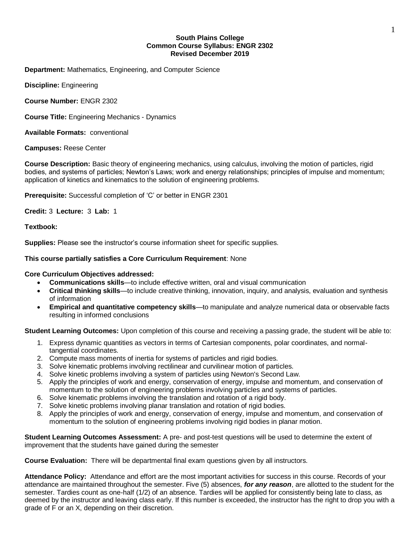#### **South Plains College Common Course Syllabus: ENGR 2302 Revised December 2019**

**Department:** Mathematics, Engineering, and Computer Science

**Discipline:** Engineering

**Course Number:** ENGR 2302

**Course Title:** Engineering Mechanics - Dynamics

**Available Formats:** conventional

**Campuses:** Reese Center

**Course Description:** Basic theory of engineering mechanics, using calculus, involving the motion of particles, rigid bodies, and systems of particles; Newton's Laws; work and energy relationships; principles of impulse and momentum; application of kinetics and kinematics to the solution of engineering problems.

**Prerequisite:** Successful completion of 'C' or better in ENGR 2301

**Credit:** 3 **Lecture:** 3 **Lab:** 1

## **Textbook:**

**Supplies:** Please see the instructor's course information sheet for specific supplies.

## **This course partially satisfies a Core Curriculum Requirement**: None

## **Core Curriculum Objectives addressed:**

- **Communications skills**—to include effective written, oral and visual communication
- **Critical thinking skills**—to include creative thinking, innovation, inquiry, and analysis, evaluation and synthesis of information
- **Empirical and quantitative competency skills**—to manipulate and analyze numerical data or observable facts resulting in informed conclusions

**Student Learning Outcomes:** Upon completion of this course and receiving a passing grade, the student will be able to:

- 1. Express dynamic quantities as vectors in terms of Cartesian components, polar coordinates, and normaltangential coordinates.
- 2. Compute mass moments of inertia for systems of particles and rigid bodies.
- 3. Solve kinematic problems involving rectilinear and curvilinear motion of particles.
- 4. Solve kinetic problems involving a system of particles using Newton's Second Law.
- 5. Apply the principles of work and energy, conservation of energy, impulse and momentum, and conservation of momentum to the solution of engineering problems involving particles and systems of particles.
- 6. Solve kinematic problems involving the translation and rotation of a rigid body.
- 7. Solve kinetic problems involving planar translation and rotation of rigid bodies.
- 8. Apply the principles of work and energy, conservation of energy, impulse and momentum, and conservation of momentum to the solution of engineering problems involving rigid bodies in planar motion.

**Student Learning Outcomes Assessment:** A pre- and post-test questions will be used to determine the extent of improvement that the students have gained during the semester

**Course Evaluation:** There will be departmental final exam questions given by all instructors.

**Attendance Policy:** Attendance and effort are the most important activities for success in this course. Records of your attendance are maintained throughout the semester. Five (5) absences, *for any reason*, are allotted to the student for the semester. Tardies count as one-half (1/2) of an absence. Tardies will be applied for consistently being late to class, as deemed by the instructor and leaving class early. If this number is exceeded, the instructor has the right to drop you with a grade of F or an X, depending on their discretion.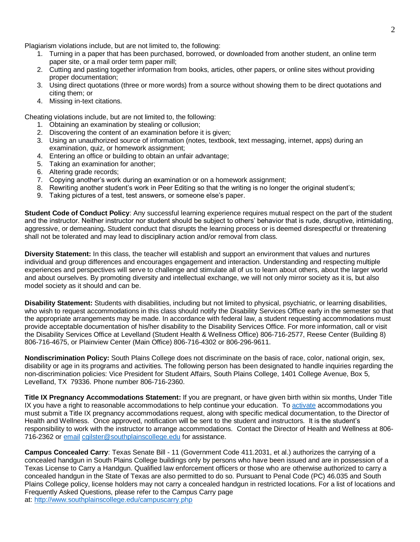Plagiarism violations include, but are not limited to, the following:

- 1. Turning in a paper that has been purchased, borrowed, or downloaded from another student, an online term paper site, or a mail order term paper mill;
- 2. Cutting and pasting together information from books, articles, other papers, or online sites without providing proper documentation;
- 3. Using direct quotations (three or more words) from a source without showing them to be direct quotations and citing them; or
- 4. Missing in-text citations.

Cheating violations include, but are not limited to, the following:

- 1. Obtaining an examination by stealing or collusion;
- 2. Discovering the content of an examination before it is given:
- 3. Using an unauthorized source of information (notes, textbook, text messaging, internet, apps) during an examination, quiz, or homework assignment;
- 4. Entering an office or building to obtain an unfair advantage;
- 5. Taking an examination for another;
- 6. Altering grade records;
- 7. Copying another's work during an examination or on a homework assignment;
- 8. Rewriting another student's work in Peer Editing so that the writing is no longer the original student's;
- 9. Taking pictures of a test, test answers, or someone else's paper.

**Student Code of Conduct Policy**: Any successful learning experience requires mutual respect on the part of the student and the instructor. Neither instructor nor student should be subject to others' behavior that is rude, disruptive, intimidating, aggressive, or demeaning**.** Student conduct that disrupts the learning process or is deemed disrespectful or threatening shall not be tolerated and may lead to disciplinary action and/or removal from class.

**Diversity Statement:** In this class, the teacher will establish and support an environment that values and nurtures individual and group differences and encourages engagement and interaction. Understanding and respecting multiple experiences and perspectives will serve to challenge and stimulate all of us to learn about others, about the larger world and about ourselves. By promoting diversity and intellectual exchange, we will not only mirror society as it is, but also model society as it should and can be.

**Disability Statement:** Students with disabilities, including but not limited to physical, psychiatric, or learning disabilities, who wish to request accommodations in this class should notify the Disability Services Office early in the semester so that the appropriate arrangements may be made. In accordance with federal law, a student requesting accommodations must provide acceptable documentation of his/her disability to the Disability Services Office. For more information, call or visit the Disability Services Office at Levelland (Student Health & Wellness Office) 806-716-2577, Reese Center (Building 8) 806-716-4675, or Plainview Center (Main Office) 806-716-4302 or 806-296-9611.

**Nondiscrimination Policy:** South Plains College does not discriminate on the basis of race, color, national origin, sex, disability or age in its programs and activities. The following person has been designated to handle inquiries regarding the non-discrimination policies: Vice President for Student Affairs, South Plains College, 1401 College Avenue, Box 5, Levelland, TX 79336. Phone number 806-716-2360.

**Title IX Pregnancy Accommodations Statement:** If you are pregnant, or have given birth within six months, Under Title IX you have a right to reasonable accommodations to help continue your education. To [activate](http://www.southplainscollege.edu/employees/manualshandbooks/facultyhandbook/sec4.php) accommodations you must submit a Title IX pregnancy accommodations request, along with specific medical documentation, to the Director of Health and Wellness. Once approved, notification will be sent to the student and instructors. It is the student's responsibility to work with the instructor to arrange accommodations. Contact the Director of Health and Wellness at 806- 716-2362 or [email](http://www.southplainscollege.edu/employees/manualshandbooks/facultyhandbook/sec4.php) [cgilster@southplainscollege.edu](mailto:cgilster@southplainscollege.edu) for assistance.

**Campus Concealed Carry**: Texas Senate Bill - 11 (Government Code 411.2031, et al.) authorizes the carrying of a concealed handgun in South Plains College buildings only by persons who have been issued and are in possession of a Texas License to Carry a Handgun. Qualified law enforcement officers or those who are otherwise authorized to carry a concealed handgun in the State of Texas are also permitted to do so. Pursuant to Penal Code (PC) 46.035 and South Plains College policy, license holders may not carry a concealed handgun in restricted locations. For a list of locations and Frequently Asked Questions, please refer to the Campus Carry page at: <http://www.southplainscollege.edu/campuscarry.php>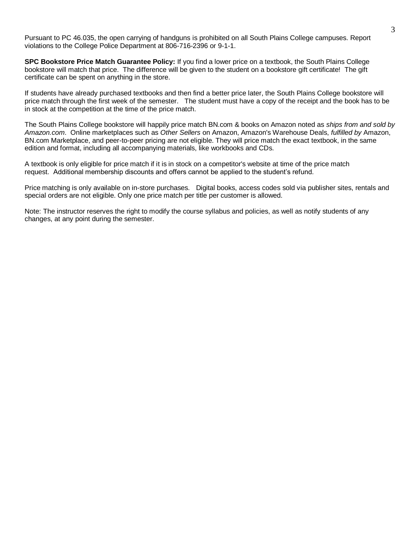Pursuant to PC 46.035, the open carrying of handguns is prohibited on all South Plains College campuses. Report violations to the College Police Department at 806-716-2396 or 9-1-1.

**SPC Bookstore Price Match Guarantee Policy:** If you find a lower price on a textbook, the South Plains College bookstore will match that price. The difference will be given to the student on a bookstore gift certificate! The gift certificate can be spent on anything in the store.

If students have already purchased textbooks and then find a better price later, the South Plains College bookstore will price match through the first week of the semester. The student must have a copy of the receipt and the book has to be in stock at the competition at the time of the price match.

The South Plains College bookstore will happily price match BN.com & books on Amazon noted as *ships from and sold by Amazon.com*. Online marketplaces such as *Other Sellers* on Amazon, Amazon's Warehouse Deals, *fulfilled by* Amazon, BN.com Marketplace, and peer-to-peer pricing are not eligible. They will price match the exact textbook, in the same edition and format, including all accompanying materials, like workbooks and CDs.

A textbook is only eligible for price match if it is in stock on a competitor's website at time of the price match request. Additional membership discounts and offers cannot be applied to the student's refund.

Price matching is only available on in-store purchases. Digital books, access codes sold via publisher sites, rentals and special orders are not eligible. Only one price match per title per customer is allowed.

Note: The instructor reserves the right to modify the course syllabus and policies, as well as notify students of any changes, at any point during the semester.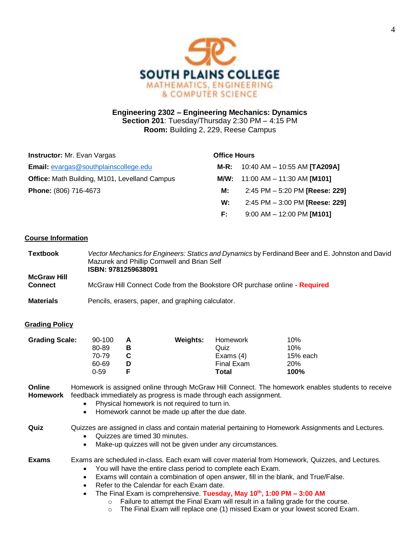

# **Engineering 2302 – Engineering Mechanics: Dynamics Section 201**: Tuesday/Thursday 2:30 PM – 4:15 PM **Room:** Building 2, 229, Reese Campus

| <b>Instructor:</b> Mr. Evan Vargas                   |      | <b>Office Hours</b>                 |  |  |
|------------------------------------------------------|------|-------------------------------------|--|--|
| <b>Email:</b> evargas@southplainscollege.edu         | M-R: | 10:40 AM – 10:55 AM <b>[TA209A]</b> |  |  |
| <b>Office:</b> Math Building, M101, Levelland Campus |      | M/W: $11:00$ AM $- 11:30$ AM [M101] |  |  |
| Phone: (806) 716-4673                                | М:   | 2:45 PM - 5:20 PM [Reese: 229]      |  |  |
|                                                      | W:   | 2:45 PM - 3:00 PM [Reese: 229]      |  |  |
|                                                      | F:   | $9:00$ AM $-$ 12:00 PM [M101]       |  |  |

## **Course Information**

| <b>Textbook</b>                      | Vector Mechanics for Engineers: Statics and Dynamics by Ferdinand Beer and E. Johnston and David<br>Mazurek and Phillip Cornwell and Brian Self<br>ISBN: 9781259638091 |
|--------------------------------------|------------------------------------------------------------------------------------------------------------------------------------------------------------------------|
| <b>McGraw Hill</b><br><b>Connect</b> | McGraw Hill Connect Code from the Bookstore OR purchase online - Required                                                                                              |
| <b>Materials</b>                     | Pencils, erasers, paper, and graphing calculator.                                                                                                                      |

## **Grading Policy**

| <b>Grading Scale:</b> | 90-100 | А | <b>Weights:</b> | Homework    | 10%      |
|-----------------------|--------|---|-----------------|-------------|----------|
|                       | 80-89  | в |                 | Quiz        | 10%      |
|                       | 70-79  |   |                 | Exams $(4)$ | 15% each |
|                       | 60-69  | D |                 | Final Exam  | 20%      |
|                       | 0-59   |   |                 | Total       | 100%     |

**Online Homework** Homework is assigned online through McGraw Hill Connect. The homework enables students to receive feedback immediately as progress is made through each assignment.

- Physical homework is not required to turn in.
- Homework cannot be made up after the due date.

**Quiz** Quizzes are assigned in class and contain material pertaining to Homework Assignments and Lectures.

- Quizzes are timed 30 minutes.
- Make-up quizzes will not be given under any circumstances.

**Exams** Exams are scheduled in-class. Each exam will cover material from Homework, Quizzes, and Lectures.

- You will have the entire class period to complete each Exam.
- Exams will contain a combination of open answer, fill in the blank, and True/False.
- Refer to the Calendar for each Exam date.
- The Final Exam is comprehensive. **Tuesday, May 10 th , 1:00 PM – 3:00 AM**
	- o Failure to attempt the Final Exam will result in a failing grade for the course.
	- $\circ$  The Final Exam will replace one (1) missed Exam or your lowest scored Exam.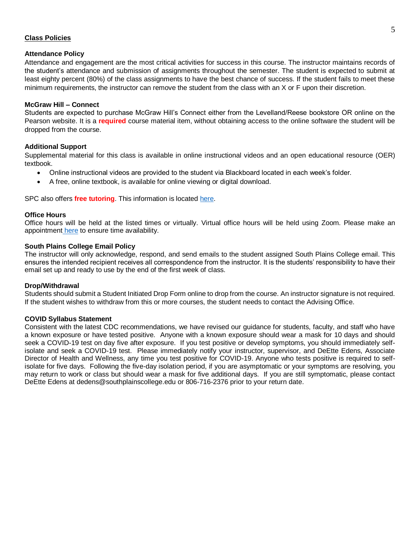## **Class Policies**

#### **Attendance Policy**

Attendance and engagement are the most critical activities for success in this course. The instructor maintains records of the student's attendance and submission of assignments throughout the semester. The student is expected to submit at least eighty percent (80%) of the class assignments to have the best chance of success. If the student fails to meet these minimum requirements, the instructor can remove the student from the class with an X or F upon their discretion.

#### **McGraw Hill – Connect**

Students are expected to purchase McGraw Hill's Connect either from the Levelland/Reese bookstore OR online on the Pearson website. It is a **required** course material item, without obtaining access to the online software the student will be dropped from the course.

## **Additional Support**

Supplemental material for this class is available in online instructional videos and an open educational resource (OER) textbook.

- Online instructional videos are provided to the student via Blackboard located in each week's folder.
- A free, online textbook, is available for online viewing or digital download.

SPC also offers **free tutoring**. This information is located [here.](http://www.southplainscollege.edu/exploreprograms/artsandsciences/tutoring-information.php)

#### **Office Hours**

Office hours will be held at the listed times or virtually. Virtual office hours will be held using Zoom. Please make an appointment [here](https://outlook.office365.com/owa/calendar/SouthPlainsCollege1498381@southplainscollege.edu/bookings/) to ensure time availability.

#### **South Plains College Email Policy**

The instructor will only acknowledge, respond, and send emails to the student assigned South Plains College email. This ensures the intended recipient receives all correspondence from the instructor. It is the students' responsibility to have their email set up and ready to use by the end of the first week of class.

#### **Drop/Withdrawal**

Students should submit a Student Initiated Drop Form online to drop from the course. An instructor signature is not required. If the student wishes to withdraw from this or more courses, the student needs to contact the Advising Office.

#### **COVID Syllabus Statement**

Consistent with the latest CDC recommendations, we have revised our guidance for students, faculty, and staff who have a known exposure or have tested positive. Anyone with a known exposure should wear a mask for 10 days and should seek a COVID-19 test on day five after exposure. If you test positive or develop symptoms, you should immediately selfisolate and seek a COVID-19 test. Please immediately notify your instructor, supervisor, and DeEtte Edens, Associate Director of Health and Wellness, any time you test positive for COVID-19. Anyone who tests positive is required to selfisolate for five days. Following the five-day isolation period, if you are asymptomatic or your symptoms are resolving, you may return to work or class but should wear a mask for five additional days. If you are still symptomatic, please contact DeEtte Edens at dedens@southplainscollege.edu or 806-716-2376 prior to your return date.